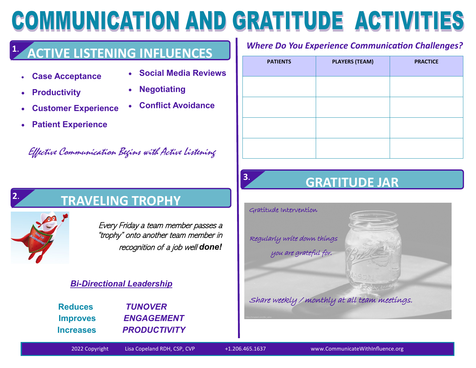# COMMUNICATION AND GRATITUDE ACTIVITIES

#### **ACTIVE LISTENING INFLUENCES 1**.

- **Case Acceptance**
- **Social Media Reviews**

• **Conflict Avoidance**

• **Productivity**

- **Negotiating**
- **Customer Experience**
- **Patient Experience**

Effective Communication Begins with Active Listening

# **2**.

# **TRAVELING TROPHY**

Every Friday a team member passes a "trophy" onto another team member in recognition of a job well *done!*

#### *Bi-Directional Leadership*

| <b>Reduces</b>   | <b>TUNOVER</b>      |
|------------------|---------------------|
| <b>Improves</b>  | <b>ENGAGEMENT</b>   |
| <b>Increases</b> | <b>PRODUCTIVITY</b> |

*Where Do You Experience Communication Challenges?*

| <b>PATIENTS</b> | <b>PLAYERS (TEAM)</b> | <b>PRACTICE</b> |
|-----------------|-----------------------|-----------------|
|                 |                       |                 |
|                 |                       |                 |
|                 |                       |                 |
|                 |                       |                 |

# **3. GRATITUDE JAR <sup>3</sup>**.

Gratitude Intervention

Regularly write down things you are grateful for.

Share weekly / monthly at all team meetings.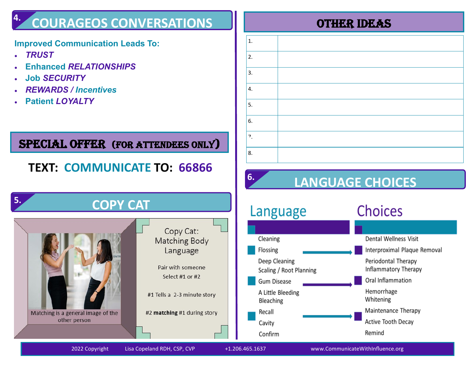#### **COURAGEOS CONVERSATIONS** OTHER Ideas **4.**

#### **4. Improved Communication Leads To:**

- *TRUST*
- **Enhanced** *RELATIONSHIPS*
- **Job** *SECURITY*
- *REWARDS / Incentives*
- **Patient** *LOYALTY*

# SPECIAL OFFER (FOR ATTENDEES ONLY)

# **TEXT: COMMUNICATE TO: 66866**

| 5. | <b>COPY CAT</b>                                    |                                                                                                                                                     |
|----|----------------------------------------------------|-----------------------------------------------------------------------------------------------------------------------------------------------------|
|    | Matching is a general image of the<br>other person | Copy Cat:<br><b>Matching Body</b><br>Language<br>Pair with someone<br>Select #1 or #2<br>#1 Tells a 2-3 minute story<br>#2 matching #1 during story |

| $1.$ |  |
|------|--|
| 2.   |  |
| 3.   |  |
| 4.   |  |
| 5.   |  |
| 6.   |  |
| 7.   |  |
| 8.   |  |

# **LANGUAGE CHOICES**

| Language                                 | <b>Choices</b>                              |
|------------------------------------------|---------------------------------------------|
|                                          |                                             |
| Cleaning                                 | Dental Wellness Visit                       |
| Flossing                                 | Interproximal Plaque Removal                |
| Deep Cleaning<br>Scaling / Root Planning | Periodontal Therapy<br>Inflammatory Therapy |
| <b>Gum Disease</b>                       | Oral Inflammation                           |
| A Little Bleeding<br>Bleaching           | Hemorrhage<br>Whitening                     |
| Recall                                   | Maintenance Therapy                         |
| Cavity                                   | Active Tooth Decay                          |
| Confirm                                  | Remind                                      |

**6.**